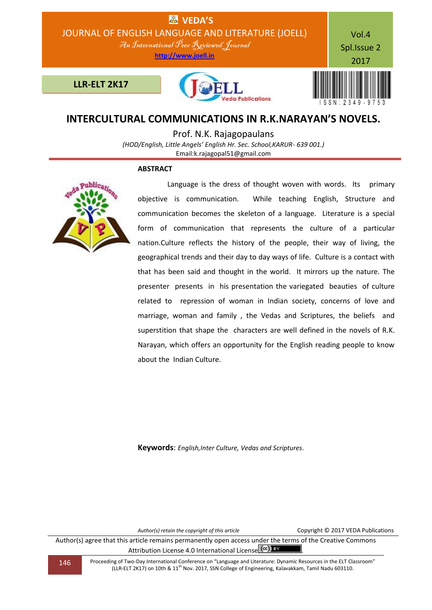

# **INTERCULTURAL COMMUNICATIONS IN R.K.NARAYAN'S NOVELS.**

Prof. N.K. Rajagopaulans

*(HOD/English, Little Angels' English Hr. Sec. School,KARUR- 639 001.)* Email:k.rajagopal51@gmail.com

#### **ABSTRACT**



Language is the dress of thought woven with words. Its primary objective is communication. While teaching English, Structure and communication becomes the skeleton of a language. Literature is a special form of communication that represents the culture of a particular nation.Culture reflects the history of the people, their way of living, the geographical trends and their day to day ways of life. Culture is a contact with that has been said and thought in the world. It mirrors up the nature. The presenter presents in his presentation the variegated beauties of culture related to repression of woman in Indian society, concerns of love and marriage, woman and family , the Vedas and Scriptures, the beliefs and superstition that shape the characters are well defined in the novels of R.K. Narayan, which offers an opportunity for the English reading people to know about the Indian Culture.

**Keywords**: *English,Inter Culture, Vedas and Scriptures*.

*Author(s) retain the copyright of this article* Copyright © 2017 VEDA Publications

Author(s) agree that this article remains permanently open access under the terms of the Creative Commons Attribution License 4.0 International License CCC) BY

146 Proceeding of Two-Day International Conference on "Language and Literature: Dynamic Resources in the ELT Classroom" (LLR-ELT 2K17) on 10th & 11<sup>th</sup> Nov. 2017, SSN College of Engineering, Kalavakkam, Tamil Nadu 603110.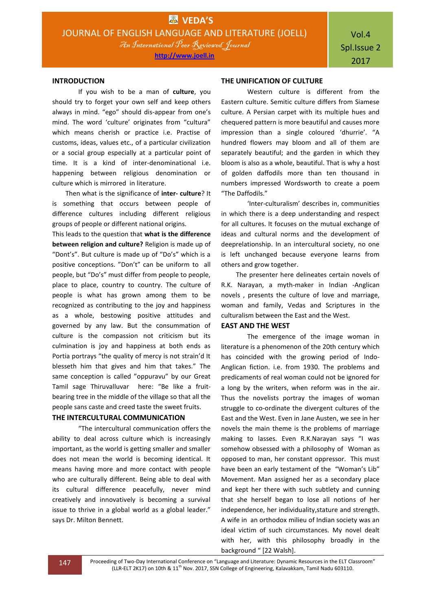#### **INTRODUCTION**

If you wish to be a man of **culture**, you should try to forget your own self and keep others always in mind. "ego" should dis-appear from one's mind. The word 'culture' originates from "cultura" which means cherish or practice i.e. Practise of customs, ideas, values etc., of a particular civilization or a social group especially at a particular point of time. It is a kind of inter-denominational i.e. happening between religious denomination or culture which is mirrored in literature.

 Then what is the significance of **inter- culture**? It is something that occurs between people of difference cultures including different religious groups of people or different national origins.

This leads to the question that **what is the difference between religion and culture?** Religion is made up of "Dont's". But culture is made up of "Do's" which is a positive conceptions. "Don't" can be uniform to all people, but "Do's" must differ from people to people, place to place, country to country. The culture of people is what has grown among them to be recognized as contributing to the joy and happiness as a whole, bestowing positive attitudes and governed by any law. But the consummation of culture is the compassion not criticism but its culmination is joy and happiness at both ends as Portia portrays "the quality of mercy is not strain'd It blesseth him that gives and him that takes." The same conception is called "oppuravu" by our Great Tamil sage Thiruvalluvar here: "Be like a fruitbearing tree in the middle of the village so that all the people sans caste and creed taste the sweet fruits.

### **THE INTERCULTURAL COMMUNICATION**

"The intercultural communication offers the ability to deal across culture which is increasingly important, as the world is getting smaller and smaller does not mean the world is becoming identical. It means having more and more contact with people who are culturally different. Being able to deal with its cultural difference peacefully, never mind creatively and innovatively is becoming a survival issue to thrive in a global world as a global leader." says Dr. Milton Bennett.

#### **THE UNIFICATION OF CULTURE**

Western culture is different from the Eastern culture. Semitic culture differs from Siamese culture. A Persian carpet with its multiple hues and chequered pattern is more beautiful and causes more impression than a single coloured 'dhurrie'. "A hundred flowers may bloom and all of them are separately beautiful; and the garden in which they bloom is also as a whole, beautiful. That is why a host of golden daffodils more than ten thousand in numbers impressed Wordsworth to create a poem "The Daffodils."

'Inter-culturalism' describes in, communities in which there is a deep understanding and respect for all cultures. It focuses on the mutual exchange of ideas and cultural norms and the development of deeprelationship. In an intercultural society, no one is left unchanged because everyone learns from others and grow together.

 The presenter here delineates certain novels of R.K. Narayan, a myth-maker in Indian -Anglican novels , presents the culture of love and marriage, woman and family, Vedas and Scriptures in the culturalism between the East and the West.

#### **EAST AND THE WEST**

The emergence of the image woman in literature is a phenomenon of the 20th century which has coincided with the growing period of Indo-Anglican fiction. i.e. from 1930. The problems and predicaments of real woman could not be ignored for a long by the writers, when reform was in the air. Thus the novelists portray the images of woman struggle to co-ordinate the divergent cultures of the East and the West. Even in Jane Austen, we see in her novels the main theme is the problems of marriage making to lasses. Even R.K.Narayan says "I was somehow obsessed with a philosophy of Woman as opposed to man, her constant oppressor. This must have been an early testament of the "Woman's Lib" Movement. Man assigned her as a secondary place and kept her there with such subtlety and cunning that she herself began to lose all notions of her independence, her individuality,stature and strength. A wife in an orthodox milieu of Indian society was an ideal victim of such circumstances. My novel dealt with her, with this philosophy broadly in the background " [22 Walsh].

147 Proceeding of Two-Day International Conference on "Language and Literature: Dynamic Resources in the ELT Classroom" (LLR-ELT 2K17) on 10th & 11<sup>th</sup> Nov. 2017, SSN College of Engineering, Kalavakkam, Tamil Nadu 603110.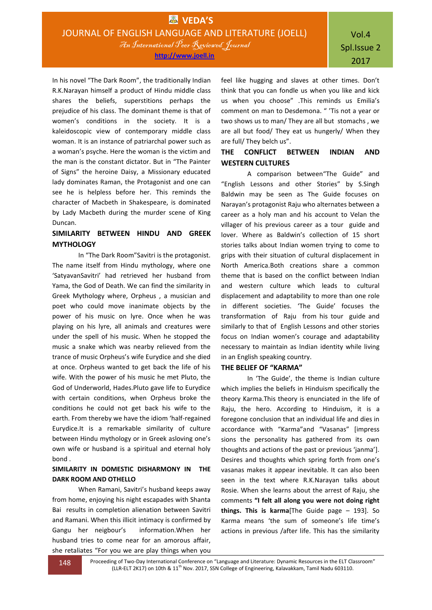In his novel "The Dark Room", the traditionally Indian R.K.Narayan himself a product of Hindu middle class shares the beliefs, superstitions perhaps the prejudice of his class. The dominant theme is that of women's conditions in the society. It is a kaleidoscopic view of contemporary middle class woman. It is an instance of patriarchal power such as a woman's psyche. Here the woman is the victim and the man is the constant dictator. But in "The Painter of Signs" the heroine Daisy, a Missionary educated lady dominates Raman, the Protagonist and one can see he is helpless before her. This reminds the character of Macbeth in Shakespeare, is dominated by Lady Macbeth during the murder scene of King Duncan.

## **SIMILARITY BETWEEN HINDU AND GREEK MYTHOLOGY**

In "The Dark Room"Savitri is the protagonist. The name itself from Hindu mythology, where one 'SatyavanSavitri' had retrieved her husband from Yama, the God of Death. We can find the similarity in Greek Mythology where, Orpheus , a musician and poet who could move inanimate objects by the power of his music on lyre. Once when he was playing on his lyre, all animals and creatures were under the spell of his music. When he stopped the music a snake which was nearby relieved from the trance of music Orpheus's wife Eurydice and she died at once. Orpheus wanted to get back the life of his wife. With the power of his music he met Pluto, the God of Underworld, Hades.Pluto gave life to Eurydice with certain conditions, when Orpheus broke the conditions he could not get back his wife to the earth. From thereby we have the idiom 'half-regained Eurydice.It is a remarkable similarity of culture between Hindu mythology or in Greek asloving one's own wife or husband is a spiritual and eternal holy bond .

### **SIMILARITY IN DOMESTIC DISHARMONY IN THE DARK ROOM AND OTHELLO**

When Ramani, Savitri's husband keeps away from home, enjoying his night escapades with Shanta Bai results in completion alienation between Savitri and Ramani. When this illicit intimacy is confirmed by Gangu her neigbour's information.When her husband tries to come near for an amorous affair, she retaliates "For you we are play things when you

feel like hugging and slaves at other times. Don't think that you can fondle us when you like and kick us when you choose" .This reminds us Emilia's comment on man to Desdemona. " 'Tis not a year or two shows us to man/ They are all but stomachs , we are all but food/ They eat us hungerly/ When they are full/ They belch us".

### **THE CONFLICT BETWEEN INDIAN AND WESTERN CULTURES**

A comparison between"The Guide" and "English Lessons and other Stories" by S.Singh Baldwin may be seen as The Guide focuses on Narayan's protagonist Raju who alternates between a career as a holy man and his account to Velan the villager of his previous career as a tour guide and lover. Where as Baldwin's collection of 15 short stories talks about Indian women trying to come to grips with their situation of cultural displacement in North America.Both creations share a common theme that is based on the conflict between Indian and western culture which leads to cultural displacement and adaptability to more than one role in different societies. 'The Guide' focuses the transformation of Raju from his tour guide and similarly to that of English Lessons and other stories focus on Indian women's courage and adaptability necessary to maintain as Indian identity while living in an English speaking country.

### **THE BELIEF OF "KARMA"**

In 'The Guide', the theme is Indian culture which implies the beliefs in Hinduism specifically the theory Karma.This theory is enunciated in the life of Raju, the hero. According to Hinduism, it is a foregone conclusion that an individual life and dies in accordance with "Karma"and "Vasanas" [impress sions the personality has gathered from its own thoughts and actions of the past or previous 'janma']. Desires and thoughts which spring forth from one's vasanas makes it appear inevitable. It can also been seen in the text where R.K.Narayan talks about Rosie. When she learns about the arrest of Raju, she comments **"I felt all along you were not doing right things. This is karma**[The Guide page – 193]. So Karma means 'the sum of someone's life time's actions in previous /after life. This has the similarity

148 Proceeding of Two-Day International Conference on "Language and Literature: Dynamic Resources in the ELT Classroom" (LLR-ELT 2K17) on 10th & 11<sup>th</sup> Nov. 2017, SSN College of Engineering, Kalavakkam, Tamil Nadu 603110.